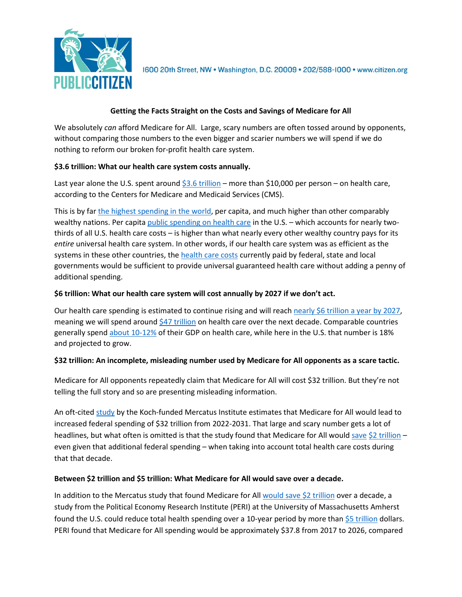

1600 20th Street, NW . Washington, D.C. 20009 . 202/588-1000 . www.citizen.org

# **Getting the Facts Straight on the Costs and Savings of Medicare for All**

We absolutely *can* afford Medicare for All. Large, scary numbers are often tossed around by opponents, without comparing those numbers to the even bigger and scarier numbers we will spend if we do nothing to reform our broken for-profit health care system.

## **\$3.6 trillion: What our health care system costs annually.**

Last year alone the U.S. spent aroun[d \\$3.6 trillion](https://www.cms.gov/Research-Statistics-Data-and-Systems/Statistics-Trends-and-Reports/NationalHealthExpendData/Downloads/ForecastSummary.pdf) – more than \$10,000 per person – on health care, according to the Centers for Medicare and Medicaid Services (CMS).

This is by far the highest [spending in the world,](https://bit.ly/2pwpvvA) per capita, and much higher than other comparably wealthy nations. Per capita [public spending on health care](https://ajph.aphapublications.org/doi/abs/10.2105/AJPH.2015.302997) in the U.S. - which accounts for nearly twothirds of all U.S. health care costs – is higher than what nearly every other wealthy country pays for its *entire* universal health care system. In other words, if our health care system was as efficient as the systems in these other countries, the [health care costs](https://ajph.aphapublications.org/doi/abs/10.2105/AJPH.2015.302997) currently paid by federal, state and local governments would be sufficient to provide universal guaranteed health care without adding a penny of additional spending.

### **\$6 trillion: What our health care system will cost annually by 2027 if we don't act.**

Our health care spending is estimated to continue rising and will reach [nearly \\$6 trillion](https://www.cms.gov/Research-Statistics-Data-and-Systems/Statistics-Trends-and-Reports/NationalHealthExpendData/Downloads/ForecastSummary.pdf) a year by 2027, meaning we will spend around  $$47$  trillion on health care over the next decade. Comparable countries generally spend [about 10-12%](https://jamanetwork.com/journals/jama/article-abstract/2674671) of their GDP on health care, while here in the U.S. that number is 18% and projected to grow.

### **\$32 trillion: An incomplete, misleading number used by Medicare for All opponents as a scare tactic.**

Medicare for All opponents repeatedly claim that Medicare for All will cost \$32 trillion. But they're not telling the full story and so are presenting misleading information.

An oft-cite[d study](https://www.mercatus.org/system/files/blahous-costs-medicare-mercatus-working-paper-v1_1.pdf) by the Koch-funded Mercatus Institute estimates that Medicare for All would lead to increased federal spending of \$32 trillion from 2022-2031. That large and scary number gets a lot of headlines, but what often is omitted is that the study found that Medicare for All would [save](https://www.peoplespolicyproject.org/2018/07/30/mercatus-study-finds-medicare-for-all-saves-2-trillion/) [\\$2 trillion](https://abcnews.go.com/Politics/32-trillion-price-tag-sanders-medicare-program-koch/story?id=56938226) – even given that additional federal spending – when taking into account total health care costs during that that decade.

### **Between \$2 trillion and \$5 trillion: What Medicare for All would save over a decade.**

In addition to the Mercatus study that found Medicare for All would save  $$2$  trillion over a decade, a study from the Political Economy Research Institute (PERI) at the University of Massachusetts Amherst found the U.S. could reduce total health spending over a 10-year period by more than [\\$5 trillion](https://www.peri.umass.edu/publication/item/1127-economic-analysis-of-medicare-for-all) dollars. PERI found that Medicare for All spending would be approximately \$37.8 from 2017 to 2026, compared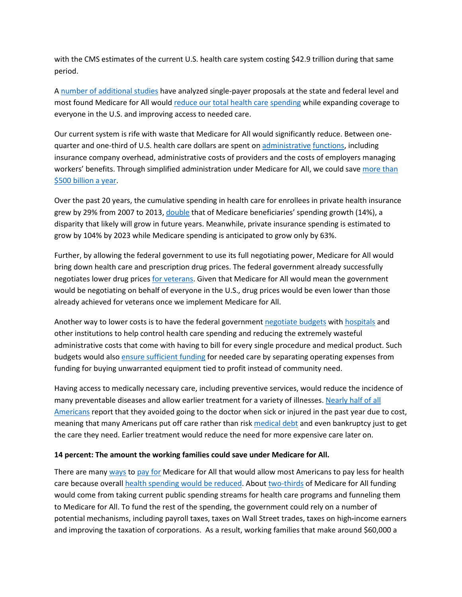with the CMS estimates of the current U.S. health care system costing \$42.9 trillion during that same period.

A [number of additional studies](https://www.healthcare-now.org/single-payer-studies/listing-of-single-payer-studies/) have analyzed single-payer proposals at the state and federal level and most found Medicare for All woul[d reduce our](https://www.peri.umass.edu/publication/item/1127-economic-analysis-of-medicare-for-all) [total health care](http://www.pnhp.org/sites/default/files/Funding%20HR%20676_Friedman_7.31.13_proofed.pdf) [spending](https://www.gao.gov/products/HRD-91-90) while expanding coverage to everyone in the U.S. and improving access to needed care.

Our current system is rife with waste that Medicare for All would significantly reduce. Between onequarter and one-third of U.S. health care dollars are spent o[n administrative](https://www.nejm.org/doi/full/10.1056/NEJMsa022033) [functions,](https://www.ncbi.nlm.nih.gov/pmc/articles/PMC3024588/) including insurance company overhead, administrative costs of providers and the costs of employers managing workers' benefits. Through simplified administration under Medicare for All, we could sav[e more than](http://annals.org/aim/fullarticle/2605414/single-payer-reform-only-way-fulfill-president-s-pledge-more)  [\\$500 billion a year.](http://annals.org/aim/fullarticle/2605414/single-payer-reform-only-way-fulfill-president-s-pledge-more)

Over the past 20 years, the cumulative spending in health care for enrollees in private health insurance grew by 29% from 2007 to 2013, [double](https://on.wsj.com/2ED1X2R) that of Medicare beneficiaries' spending growth (14%), a disparity that likely will grow in future years. Meanwhile, private insurance spending is estimated to grow by 104% by 2023 while Medicare spending is anticipated to grow only by 63%.

Further, by allowing the federal government to use its full negotiating power, Medicare for All would bring down health care and prescription drug prices. The federal government already successfully negotiates lower drug prices [for veterans.](https://bit.ly/2p8FRJi) Given that Medicare for All would mean the government would be negotiating on behalf of everyone in the U.S., drug prices would be even lower than those already achieved for veterans once we implement Medicare for All.

Another way to lower costs is to have the federal government [negotiate budgets](https://bit.ly/2O3v3YS.) with [hospitals](https://urbn.is/2O2ExmU) and other institutions to help control health care spending and reducing the extremely wasteful administrative costs that come with having to bill for every single procedure and medical product. Such budgets would also [ensure sufficient funding](https://bit.ly/2Ra6awE) for needed care by separating operating expenses from funding for buying unwarranted equipment tied to profit instead of community need.

Having access to medically necessary care, including preventive services, would reduce the incidence of many preventable diseases and allow earlier treatment for a variety of illnesses[. Nearly half of all](https://bit.ly/CuBUXo)  [Americans](https://bit.ly/CuBUXo) report that they avoided going to the doctor when sick or injured in the past year due to cost, meaning that many Americans put off care rather than risk [medical debt](https://bit.ly/2ODJkk5) and even bankruptcy just to get the care they need. Earlier treatment would reduce the need for more expensive care later on.

### **14 percent: The amount the working families could save under Medicare for All.**

There are many [ways](https://bit.ly/2fhTNhh) t[o pay for](https://americansfortaxfairness.org/wp-content/uploads/ATF-Fair-Taxes-Now-Report-FINAL-FINAL-4-12-19.pdf) Medicare for All that would allow most Americans to pay less for health care because overall [health spending would be reduced.](https://www.peri.umass.edu/publication/item/1127-economic-analysis-of-medicare-for-all) About [two-thirds](https://www.peri.umass.edu/publication/item/1127-economic-analysis-of-medicare-for-all) of Medicare for All funding would come from taking current public spending streams for health care programs and funneling them to Medicare for All. To fund the rest of the spending, the government could rely on a number of potential mechanisms, including payroll taxes, taxes on Wall Street trades, taxes on high**-**income earners and improving the taxation of corporations. As a result, working families that make around \$60,000 a